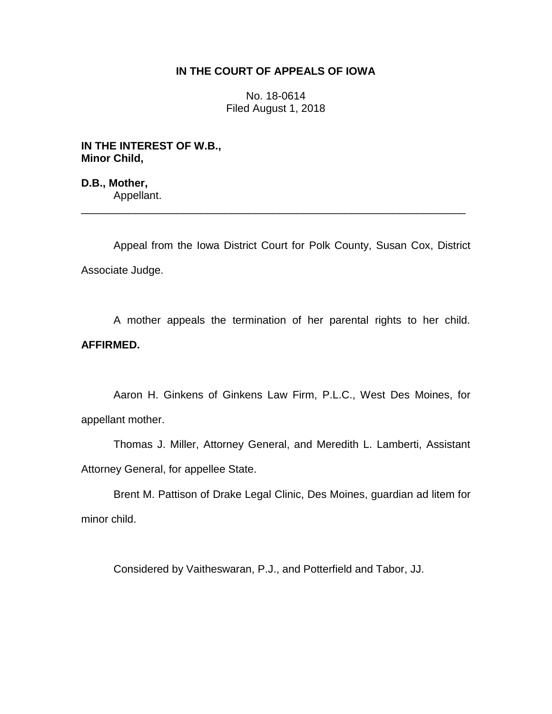# **IN THE COURT OF APPEALS OF IOWA**

No. 18-0614 Filed August 1, 2018

**IN THE INTEREST OF W.B., Minor Child,**

**D.B., Mother,** Appellant.

Appeal from the Iowa District Court for Polk County, Susan Cox, District Associate Judge.

\_\_\_\_\_\_\_\_\_\_\_\_\_\_\_\_\_\_\_\_\_\_\_\_\_\_\_\_\_\_\_\_\_\_\_\_\_\_\_\_\_\_\_\_\_\_\_\_\_\_\_\_\_\_\_\_\_\_\_\_\_\_\_\_

A mother appeals the termination of her parental rights to her child. **AFFIRMED.**

Aaron H. Ginkens of Ginkens Law Firm, P.L.C., West Des Moines, for appellant mother.

Thomas J. Miller, Attorney General, and Meredith L. Lamberti, Assistant Attorney General, for appellee State.

Brent M. Pattison of Drake Legal Clinic, Des Moines, guardian ad litem for minor child.

Considered by Vaitheswaran, P.J., and Potterfield and Tabor, JJ.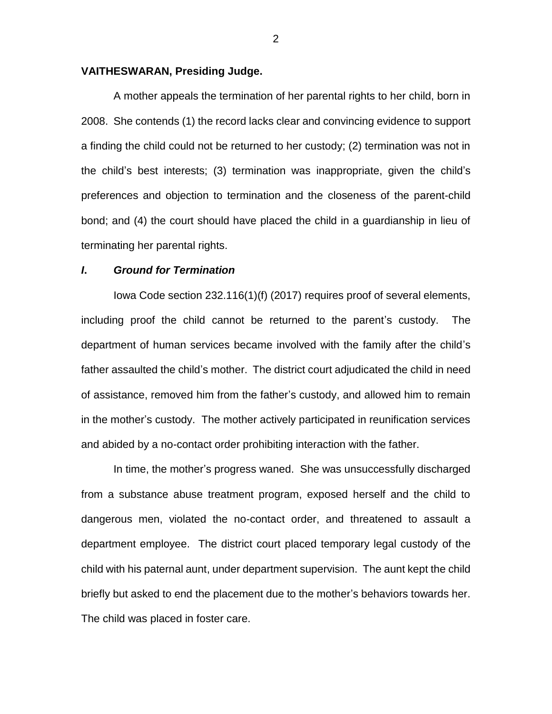# **VAITHESWARAN, Presiding Judge.**

A mother appeals the termination of her parental rights to her child, born in 2008. She contends (1) the record lacks clear and convincing evidence to support a finding the child could not be returned to her custody; (2) termination was not in the child's best interests; (3) termination was inappropriate, given the child's preferences and objection to termination and the closeness of the parent-child bond; and (4) the court should have placed the child in a guardianship in lieu of terminating her parental rights.

# *I***.** *Ground for Termination*

Iowa Code section 232.116(1)(f) (2017) requires proof of several elements, including proof the child cannot be returned to the parent's custody. The department of human services became involved with the family after the child's father assaulted the child's mother. The district court adjudicated the child in need of assistance, removed him from the father's custody, and allowed him to remain in the mother's custody. The mother actively participated in reunification services and abided by a no-contact order prohibiting interaction with the father.

In time, the mother's progress waned. She was unsuccessfully discharged from a substance abuse treatment program, exposed herself and the child to dangerous men, violated the no-contact order, and threatened to assault a department employee. The district court placed temporary legal custody of the child with his paternal aunt, under department supervision. The aunt kept the child briefly but asked to end the placement due to the mother's behaviors towards her. The child was placed in foster care.

2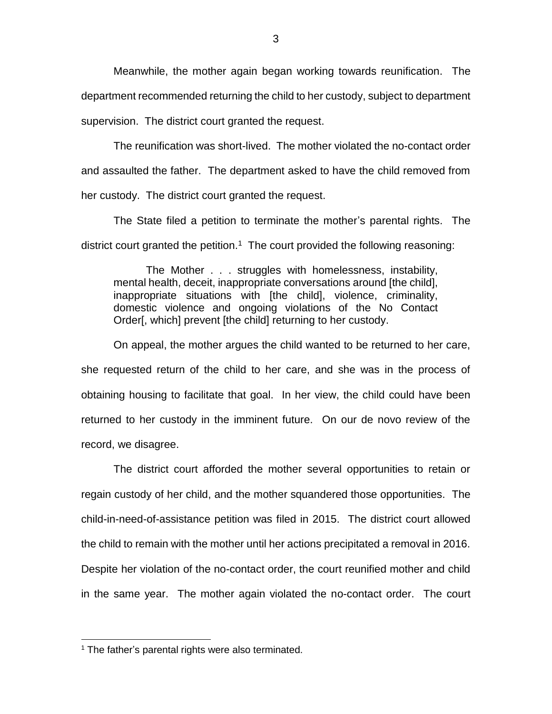Meanwhile, the mother again began working towards reunification. The department recommended returning the child to her custody, subject to department supervision. The district court granted the request.

The reunification was short-lived. The mother violated the no-contact order and assaulted the father. The department asked to have the child removed from her custody. The district court granted the request.

The State filed a petition to terminate the mother's parental rights. The district court granted the petition.<sup>1</sup> The court provided the following reasoning:

The Mother . . . struggles with homelessness, instability, mental health, deceit, inappropriate conversations around [the child], inappropriate situations with [the child], violence, criminality, domestic violence and ongoing violations of the No Contact Order[, which] prevent [the child] returning to her custody.

On appeal, the mother argues the child wanted to be returned to her care, she requested return of the child to her care, and she was in the process of obtaining housing to facilitate that goal. In her view, the child could have been returned to her custody in the imminent future. On our de novo review of the record, we disagree.

The district court afforded the mother several opportunities to retain or regain custody of her child, and the mother squandered those opportunities. The child-in-need-of-assistance petition was filed in 2015. The district court allowed the child to remain with the mother until her actions precipitated a removal in 2016. Despite her violation of the no-contact order, the court reunified mother and child in the same year. The mother again violated the no-contact order. The court

 $\overline{a}$ 

 $1$  The father's parental rights were also terminated.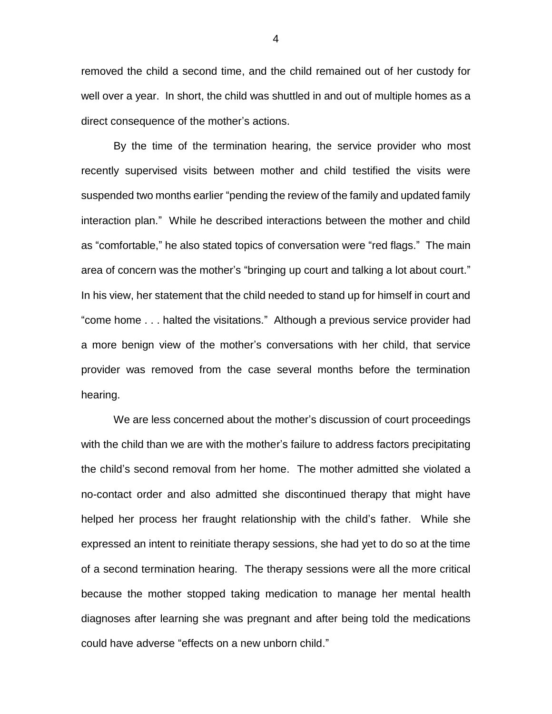removed the child a second time, and the child remained out of her custody for well over a year. In short, the child was shuttled in and out of multiple homes as a direct consequence of the mother's actions.

By the time of the termination hearing, the service provider who most recently supervised visits between mother and child testified the visits were suspended two months earlier "pending the review of the family and updated family interaction plan." While he described interactions between the mother and child as "comfortable," he also stated topics of conversation were "red flags." The main area of concern was the mother's "bringing up court and talking a lot about court." In his view, her statement that the child needed to stand up for himself in court and "come home . . . halted the visitations." Although a previous service provider had a more benign view of the mother's conversations with her child, that service provider was removed from the case several months before the termination hearing.

We are less concerned about the mother's discussion of court proceedings with the child than we are with the mother's failure to address factors precipitating the child's second removal from her home. The mother admitted she violated a no-contact order and also admitted she discontinued therapy that might have helped her process her fraught relationship with the child's father. While she expressed an intent to reinitiate therapy sessions, she had yet to do so at the time of a second termination hearing. The therapy sessions were all the more critical because the mother stopped taking medication to manage her mental health diagnoses after learning she was pregnant and after being told the medications could have adverse "effects on a new unborn child."

4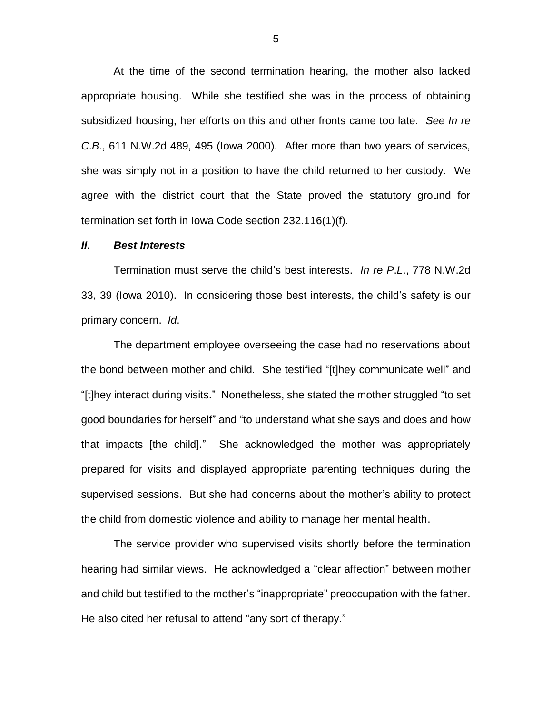At the time of the second termination hearing, the mother also lacked appropriate housing. While she testified she was in the process of obtaining subsidized housing, her efforts on this and other fronts came too late. *See In re C*.*B*., 611 N.W.2d 489, 495 (Iowa 2000). After more than two years of services, she was simply not in a position to have the child returned to her custody. We agree with the district court that the State proved the statutory ground for termination set forth in Iowa Code section 232.116(1)(f).

# *II***.** *Best Interests*

Termination must serve the child's best interests. *In re P*.*L*., 778 N.W.2d 33, 39 (Iowa 2010). In considering those best interests, the child's safety is our primary concern. *Id*.

The department employee overseeing the case had no reservations about the bond between mother and child. She testified "[t]hey communicate well" and "[t]hey interact during visits." Nonetheless, she stated the mother struggled "to set good boundaries for herself" and "to understand what she says and does and how that impacts [the child]." She acknowledged the mother was appropriately prepared for visits and displayed appropriate parenting techniques during the supervised sessions. But she had concerns about the mother's ability to protect the child from domestic violence and ability to manage her mental health.

The service provider who supervised visits shortly before the termination hearing had similar views. He acknowledged a "clear affection" between mother and child but testified to the mother's "inappropriate" preoccupation with the father. He also cited her refusal to attend "any sort of therapy."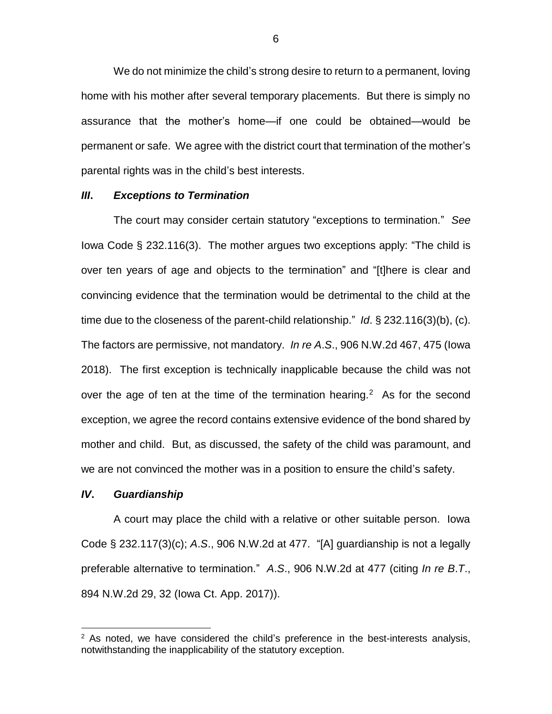We do not minimize the child's strong desire to return to a permanent, loving home with his mother after several temporary placements. But there is simply no assurance that the mother's home—if one could be obtained—would be permanent or safe. We agree with the district court that termination of the mother's parental rights was in the child's best interests.

#### *III***.** *Exceptions to Termination*

The court may consider certain statutory "exceptions to termination." *See* Iowa Code § 232.116(3). The mother argues two exceptions apply: "The child is over ten years of age and objects to the termination" and "[t]here is clear and convincing evidence that the termination would be detrimental to the child at the time due to the closeness of the parent-child relationship." *Id*. § 232.116(3)(b), (c). The factors are permissive, not mandatory. *In re A*.*S*., 906 N.W.2d 467, 475 (Iowa 2018). The first exception is technically inapplicable because the child was not over the age of ten at the time of the termination hearing.<sup>2</sup> As for the second exception, we agree the record contains extensive evidence of the bond shared by mother and child. But, as discussed, the safety of the child was paramount, and we are not convinced the mother was in a position to ensure the child's safety.

#### *IV***.** *Guardianship*

 $\overline{a}$ 

A court may place the child with a relative or other suitable person. Iowa Code § 232.117(3)(c); *A*.*S*., 906 N.W.2d at 477. "[A] guardianship is not a legally preferable alternative to termination." *A*.*S*., 906 N.W.2d at 477 (citing *In re B*.*T*., 894 N.W.2d 29, 32 (Iowa Ct. App. 2017)).

 $2$  As noted, we have considered the child's preference in the best-interests analysis, notwithstanding the inapplicability of the statutory exception.